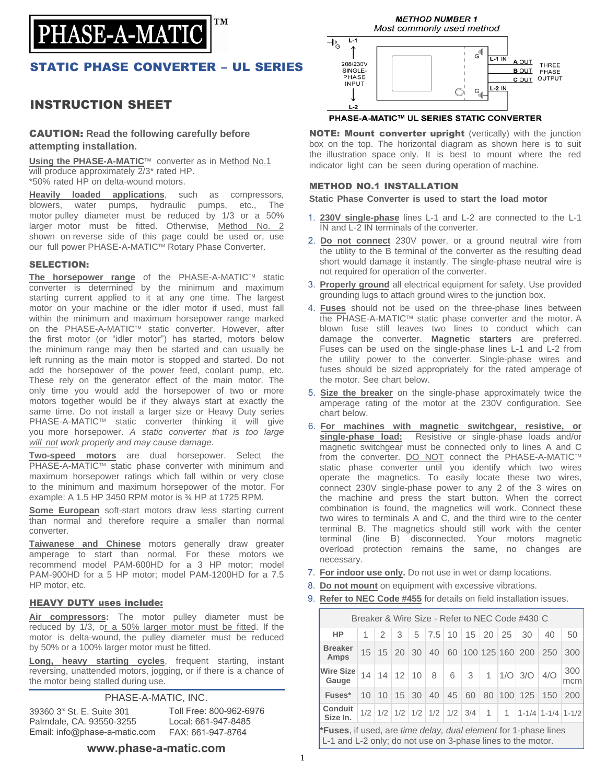

## STATIC PHASE CONVERTER – UL SERIES

## INSTRUCTION SHEET

### CAUTION: **Read the following carefully before attempting installation.**

**Using the PHASE-A-MATIC™** converter as in Method No.1 will produce approximately  $2/3^*$  rated HP. \*50% rated HP on delta-wound motors.

**Heavily loaded applications**, such as compressors, blowers, water pumps, hydraulic pumps, etc., The motor pulley diameter must be reduced by 1/3 or a 50% larger motor must be fitted. Otherwise, Method No. 2 shown on reverse side of this page could be used or, use our full power PHASE-A-MATIC™ Rotary Phase Converter.

### SELECTION:

The horsepower range of the PHASE-A-MATIC™ static converter is determined by the minimum and maximum starting current applied to it at any one time. The largest motor on your machine or the idler motor if used, must fall within the minimum and maximum horsepower range marked on the PHASE-A-MATIC™ static converter. However, after the first motor (or "idler motor") has started, motors below the minimum range may then be started and can usually be left running as the main motor is stopped and started. Do not add the horsepower of the power feed, coolant pump, etc. These rely on the generator effect of the main motor. The only time you would add the horsepower of two or more motors together would be if they always start at exactly the same time. Do not install a larger size or Heavy Duty series PHASE-A-MATIC™ static converter thinking it will give you more horsepower. *A static converter that is too large will not work properly and may cause damage.* 

**Two-speed motors** are dual horsepower. Select the PHASE-A-MATIC™ static phase converter with minimum and maximum horsepower ratings which fall within or very close to the minimum and maximum horsepower of the motor. For example: A 1.5 HP 3450 RPM motor is ¾ HP at 1725 RPM.

**Some European** soft-start motors draw less starting current than normal and therefore require a smaller than normal converter.

**Taiwanese and Chinese** motors generally draw greater amperage to start than normal. For these motors we recommend model PAM-600HD for a 3 HP motor; model PAM-900HD for a 5 HP motor; model PAM-1200HD for a 7.5 HP motor, etc.

### HEAVY DUTY uses include:

**Air compressors:** The motor pulley diameter must be reduced by 1/3, or a 50% larger motor must be fitted. If the motor is delta-wound, the pulley diameter must be reduced by 50% or a 100% larger motor must be fitted.

**Long, heavy starting cycles**, frequent starting, instant reversing, unattended motors, jogging, or if there is a chance of the motor being stalled during use.

PHASE-A-MATIC, INC.

39360 3 rd St. E. Suite 301 Palmdale, CA. 93550-3255 Email: info@phase-a-matic.com

Toll Free: 800-962-6976 Local: 661-947-8485 FAX: 661-947-8764

### **www.phase-a-matic.com**



#### PHASE-A-MATIC™ UL SERIES STATIC CONVERTER

NOTE: Mount converter upright (vertically) with the junction box on the top. The horizontal diagram as shown here is to suit the illustration space only. It is best to mount where the red indicator light can be seen during operation of machine.

### METHOD NO.1 INSTALLATION

**Static Phase Converter is used to start the load motor** 

- 1. **230V single-phase** lines L-1 and L-2 are connected to the L-1 IN and L-2 IN terminals of the converter.
- 2. **Do not connect** 230V power, or a ground neutral wire from the utility to the B terminal of the converter as the resulting dead short would damage it instantly. The single-phase neutral wire is not required for operation of the converter.
- 3. **Properly ground** all electrical equipment for safety. Use provided grounding lugs to attach ground wires to the junction box.
- 4. **Fuses** should not be used on the three-phase lines between the PHASE-A-MATIC™ static phase converter and the motor. A blown fuse still leaves two lines to conduct which can damage the converter. **Magnetic starters** are preferred. Fuses can be used on the single-phase lines L-1 and L-2 from the utility power to the converter. Single-phase wires and fuses should be sized appropriately for the rated amperage of the motor. See chart below.
- 5. **Size the breaker** on the single-phase approximately twice the amperage rating of the motor at the 230V configuration. See chart below.
- 6. **For machines with magnetic switchgear, resistive, or single-phase load:** Resistive or single-phase loads and/or magnetic switchgear must be connected only to lines A and C from the converter. DO NOT connect the PHASE-A-MATIC™ static phase converter until you identify which two wires operate the magnetics. To easily locate these two wires, connect 230V single-phase power to any 2 of the 3 wires on the machine and press the start button. When the correct combination is found, the magnetics will work. Connect these two wires to terminals A and C, and the third wire to the center terminal B. The magnetics should still work with the center terminal (line B) disconnected. Your motors magnetic overload protection remains the same, no changes are necessary.
- 7. **For indoor use only.** Do not use in wet or damp locations.
- 8. **Do not mount** on equipment with excessive vibrations.
- 9. **Refer to NEC Code #455** for details on field installation issues.

| Breaker & Wire Size - Refer to NEC Code #430 C                                                                                                |  |               |                           |       |     |   |                                                 |      |  |                    |                           |            |
|-----------------------------------------------------------------------------------------------------------------------------------------------|--|---------------|---------------------------|-------|-----|---|-------------------------------------------------|------|--|--------------------|---------------------------|------------|
| HP                                                                                                                                            |  | $\mathcal{P}$ | 3                         | 5     | 7.5 |   | $10 \mid 15 \mid 20 \mid 25$                    |      |  | 30                 | 40                        | 50         |
| <b>Breaker</b><br>Amps                                                                                                                        |  |               | $15 \mid 15 \mid 20 \mid$ | 30    | 40  |   |                                                 |      |  | 60 100 125 160 200 | 250                       | 300        |
| Wire Size<br>Gauge                                                                                                                            |  |               | $14$   14   12   10       |       | 8   | 6 | $\mathbf{3}$                                    |      |  | $1  1/O $ 3/0      | 4/O                       | 300<br>mcm |
| Fuses*                                                                                                                                        |  | $10 \mid 10$  |                           | 15 30 | 40  |   | 45 60                                           |      |  | 80 100 125         | 150                       | 200        |
| Conduit<br>Size In.                                                                                                                           |  |               |                           |       |     |   | $1/2$ $1/2$ $1/2$ $1/2$ $1/2$ $1/2$ $1/2$ $3/4$ | $-1$ |  |                    | $1 \t1 - 1/4$ 1-1/4 1-1/2 |            |
| <b>*Fuses</b> , if used, are <i>time delay, dual element</i> for 1-phase lines<br>L-1 and L-2 only; do not use on 3-phase lines to the motor. |  |               |                           |       |     |   |                                                 |      |  |                    |                           |            |

1